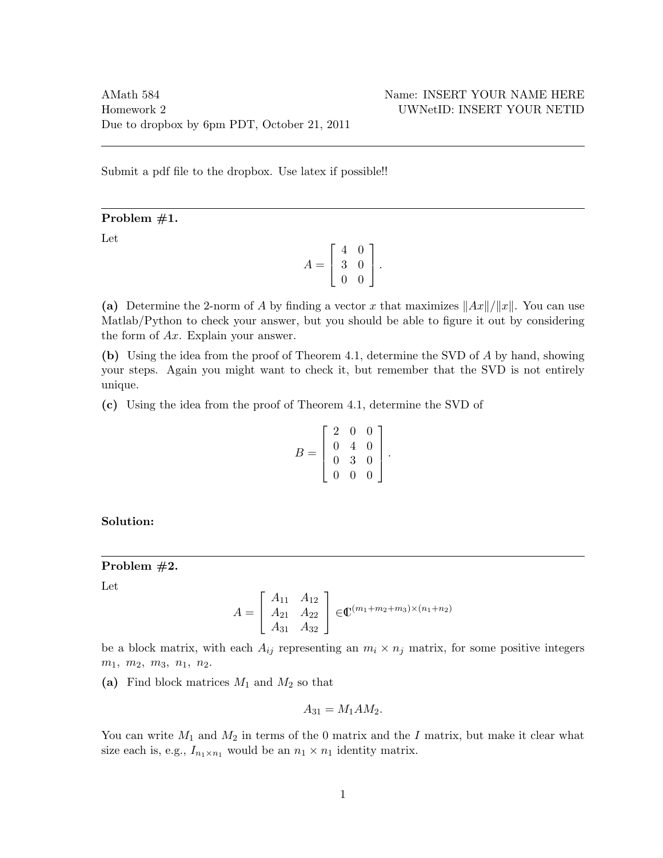Submit a pdf file to the dropbox. Use latex if possible!!

## Problem  $#1$ .

Let

$$
A = \left[ \begin{array}{cc} 4 & 0 \\ 3 & 0 \\ 0 & 0 \end{array} \right].
$$

(a) Determine the 2-norm of A by finding a vector x that maximizes  $||Ax||/||x||$ . You can use Matlab/Python to check your answer, but you should be able to figure it out by considering the form of Ax. Explain your answer.

(b) Using the idea from the proof of Theorem 4.1, determine the SVD of A by hand, showing your steps. Again you might want to check it, but remember that the SVD is not entirely unique.

(c) Using the idea from the proof of Theorem 4.1, determine the SVD of

$$
B = \left[ \begin{array}{rrr} 2 & 0 & 0 \\ 0 & 4 & 0 \\ 0 & 3 & 0 \\ 0 & 0 & 0 \end{array} \right].
$$

# Solution:

#### Problem #2.

Let

$$
A = \begin{bmatrix} A_{11} & A_{12} \\ A_{21} & A_{22} \\ A_{31} & A_{32} \end{bmatrix} \in \mathbb{C}^{(m_1 + m_2 + m_3) \times (n_1 + n_2)}
$$

be a block matrix, with each  $A_{ij}$  representing an  $m_i \times n_j$  matrix, for some positive integers  $m_1, m_2, m_3, n_1, n_2.$ 

(a) Find block matrices  $M_1$  and  $M_2$  so that

$$
A_{31}=M_1AM_2.
$$

You can write  $M_1$  and  $M_2$  in terms of the 0 matrix and the I matrix, but make it clear what size each is, e.g.,  $I_{n_1 \times n_1}$  would be an  $n_1 \times n_1$  identity matrix.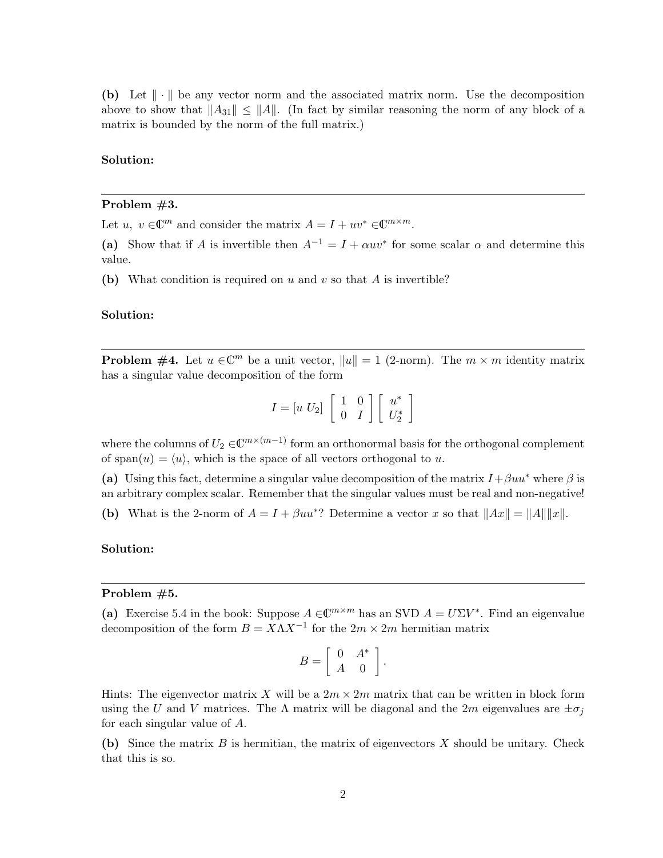(b) Let  $\|\cdot\|$  be any vector norm and the associated matrix norm. Use the decomposition above to show that  $||A_{31}|| \le ||A||$ . (In fact by similar reasoning the norm of any block of a matrix is bounded by the norm of the full matrix.)

# Solution:

#### Problem #3.

Let u,  $v \in \mathbb{C}^m$  and consider the matrix  $A = I + uv^* \in \mathbb{C}^{m \times m}$ .

(a) Show that if A is invertible then  $A^{-1} = I + \alpha uv^*$  for some scalar  $\alpha$  and determine this value.

(b) What condition is required on  $u$  and  $v$  so that  $A$  is invertible?

### Solution:

**Problem #4.** Let  $u \in \mathbb{C}^m$  be a unit vector,  $||u|| = 1$  (2-norm). The  $m \times m$  identity matrix has a singular value decomposition of the form

$$
I = [u \ U_2] \begin{bmatrix} 1 & 0 \\ 0 & I \end{bmatrix} \begin{bmatrix} u^* \\ U_2^* \end{bmatrix}
$$

where the columns of  $U_2 \in \mathbb{C}^{m \times (m-1)}$  form an orthonormal basis for the orthogonal complement of span $(u) = \langle u \rangle$ , which is the space of all vectors orthogonal to u.

(a) Using this fact, determine a singular value decomposition of the matrix  $I+\beta uu^*$  where  $\beta$  is an arbitrary complex scalar. Remember that the singular values must be real and non-negative!

(b) What is the 2-norm of  $A = I + \beta uu^*$ ? Determine a vector x so that  $||Ax|| = ||A|| ||x||$ .

# Solution:

## Problem #5.

(a) Exercise 5.4 in the book: Suppose  $A \in \mathbb{C}^{m \times m}$  has an SVD  $A = U \Sigma V^*$ . Find an eigenvalue decomposition of the form  $B = X\Lambda X^{-1}$  for the  $2m \times 2m$  hermitian matrix

$$
B = \left[ \begin{array}{cc} 0 & A^* \\ A & 0 \end{array} \right].
$$

Hints: The eigenvector matrix X will be a  $2m \times 2m$  matrix that can be written in block form using the U and V matrices. The  $\Lambda$  matrix will be diagonal and the 2m eigenvalues are  $\pm \sigma_i$ for each singular value of A.

(b) Since the matrix  $B$  is hermitian, the matrix of eigenvectors  $X$  should be unitary. Check that this is so.